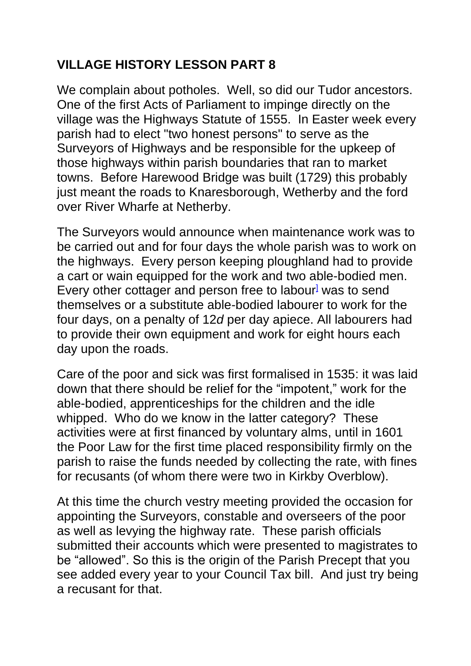## **VILLAGE HISTORY LESSON PART 8**

We complain about potholes. Well, so did our Tudor ancestors. One of the first Acts of Parliament to impinge directly on the village was the Highways Statute of 1555. In Easter week every parish had to elect "two honest persons" to serve as the Surveyors [of Highways](https://en.wikipedia.org/w/index.php?title=Surveyor_of_Highways&action=edit&redlink=1) and be responsible for the upkeep of those highways within parish boundaries that ran to [market](https://en.wikipedia.org/wiki/Market_town)  [towns.](https://en.wikipedia.org/wiki/Market_town) Before Harewood Bridge was built (1729) this probably just meant the roads to Knaresborough, Wetherby and the ford over River Wharfe at Netherby.

The Surveyors would announce when maintenance work was to be carried out and for four days the whole parish was to work on the highways. Every person keeping ploughland had to provide a cart or wain equipped for the work and two able-bodied men. Every other cottager and person free to labour<sup>l</sup> was to send themselves or a substitute able-bodied labourer to work for the four days, on a penalty of 12*d* per day apiece. All labourers had to provide their own equipment and work for eight hours each day upon the roads.

Care of the poor and sick was first formalised in 1535: it was laid down that there should be relief for the "impotent," work for the able-bodied, apprenticeships for the children and the idle whipped. Who do we know in the latter category? These activities were at first financed by voluntary alms, until in 1601 the Poor Law for the first time placed responsibility firmly on the parish to raise the funds needed by collecting the rate, with fines for recusants (of whom there were two in Kirkby Overblow).

At this time the church vestry meeting provided the occasion for appointing the Surveyors, constable and overseers of the poor as well as levying the highway rate. These parish officials submitted their accounts which were presented to magistrates to be "allowed". So this is the origin of the Parish Precept that you see added every year to your Council Tax bill. And just try being a recusant for that.